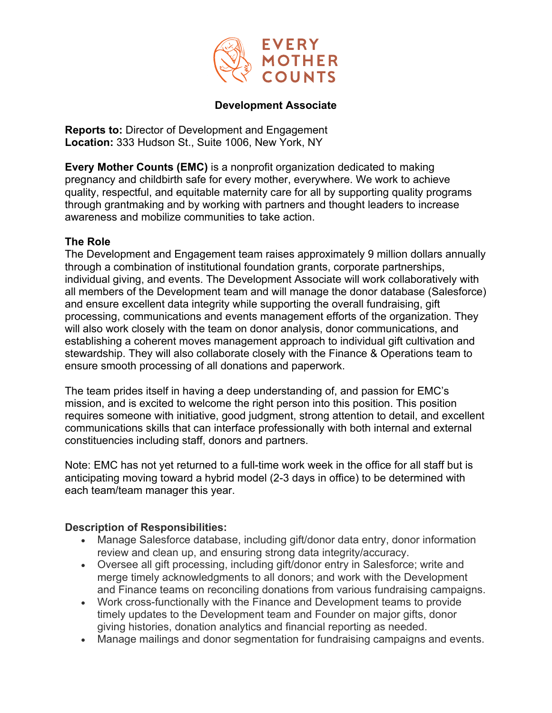

#### **Development Associate**

**Reports to:** Director of Development and Engagement **Location:** 333 Hudson St., Suite 1006, New York, NY

**Every Mother Counts (EMC)** is a nonprofit organization dedicated to making pregnancy and childbirth safe for every mother, everywhere. We work to achieve quality, respectful, and equitable maternity care for all by supporting quality programs through grantmaking and by working with partners and thought leaders to increase awareness and mobilize communities to take action.

#### **The Role**

The Development and Engagement team raises approximately 9 million dollars annually through a combination of institutional foundation grants, corporate partnerships, individual giving, and events. The Development Associate will work collaboratively with all members of the Development team and will manage the donor database (Salesforce) and ensure excellent data integrity while supporting the overall fundraising, gift processing, communications and events management efforts of the organization. They will also work closely with the team on donor analysis, donor communications, and establishing a coherent moves management approach to individual gift cultivation and stewardship. They will also collaborate closely with the Finance & Operations team to ensure smooth processing of all donations and paperwork.

The team prides itself in having a deep understanding of, and passion for EMC's mission, and is excited to welcome the right person into this position. This position requires someone with initiative, good judgment, strong attention to detail, and excellent communications skills that can interface professionally with both internal and external constituencies including staff, donors and partners.

Note: EMC has not yet returned to a full-time work week in the office for all staff but is anticipating moving toward a hybrid model (2-3 days in office) to be determined with each team/team manager this year.

# **Description of Responsibilities:**

- Manage Salesforce database, including gift/donor data entry, donor information review and clean up, and ensuring strong data integrity/accuracy.
- Oversee all gift processing, including gift/donor entry in Salesforce; write and merge timely acknowledgments to all donors; and work with the Development and Finance teams on reconciling donations from various fundraising campaigns.
- Work cross-functionally with the Finance and Development teams to provide timely updates to the Development team and Founder on major gifts, donor giving histories, donation analytics and financial reporting as needed.
- Manage mailings and donor segmentation for fundraising campaigns and events.